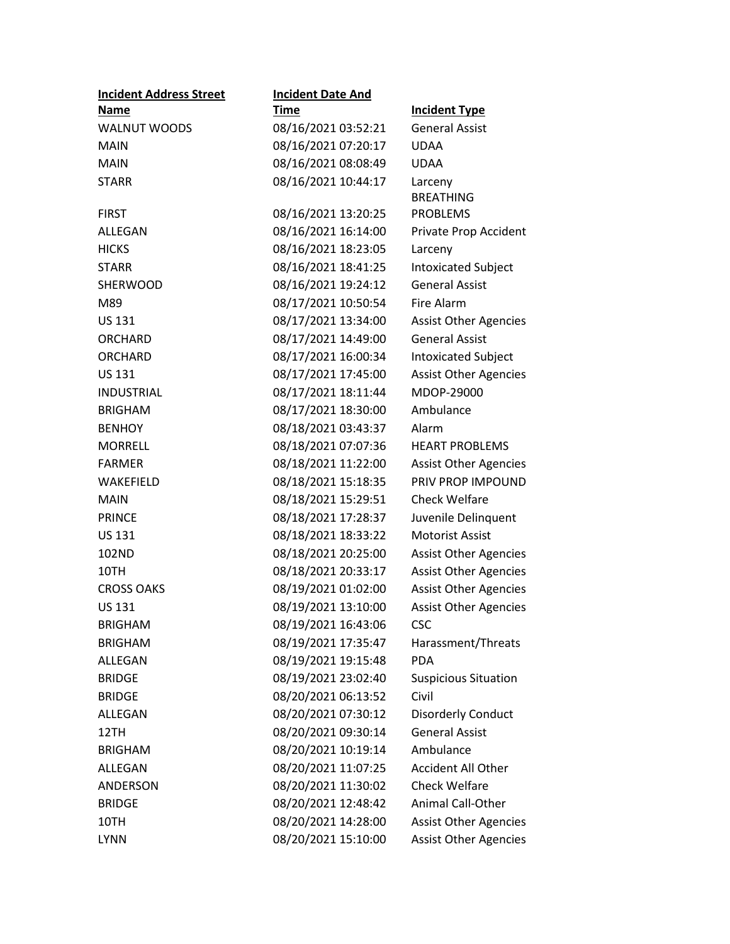| <b>Incident Address Street</b> | <b>Incident Date And</b> |                              |
|--------------------------------|--------------------------|------------------------------|
| Name                           | <b>Time</b>              | <b>Incident Type</b>         |
| <b>WALNUT WOODS</b>            | 08/16/2021 03:52:21      | <b>General Assist</b>        |
| <b>MAIN</b>                    | 08/16/2021 07:20:17      | <b>UDAA</b>                  |
| <b>MAIN</b>                    | 08/16/2021 08:08:49      | <b>UDAA</b>                  |
| <b>STARR</b>                   | 08/16/2021 10:44:17      | Larceny                      |
|                                |                          | <b>BREATHING</b>             |
| <b>FIRST</b>                   | 08/16/2021 13:20:25      | <b>PROBLEMS</b>              |
| ALLEGAN                        | 08/16/2021 16:14:00      | Private Prop Accident        |
| <b>HICKS</b>                   | 08/16/2021 18:23:05      | Larceny                      |
| <b>STARR</b>                   | 08/16/2021 18:41:25      | <b>Intoxicated Subject</b>   |
| <b>SHERWOOD</b>                | 08/16/2021 19:24:12      | <b>General Assist</b>        |
| M89                            | 08/17/2021 10:50:54      | <b>Fire Alarm</b>            |
| <b>US 131</b>                  | 08/17/2021 13:34:00      | <b>Assist Other Agencies</b> |
| <b>ORCHARD</b>                 | 08/17/2021 14:49:00      | <b>General Assist</b>        |
| <b>ORCHARD</b>                 | 08/17/2021 16:00:34      | <b>Intoxicated Subject</b>   |
| <b>US 131</b>                  | 08/17/2021 17:45:00      | <b>Assist Other Agencies</b> |
| <b>INDUSTRIAL</b>              | 08/17/2021 18:11:44      | MDOP-29000                   |
| <b>BRIGHAM</b>                 | 08/17/2021 18:30:00      | Ambulance                    |
| <b>BENHOY</b>                  | 08/18/2021 03:43:37      | Alarm                        |
| <b>MORRELL</b>                 | 08/18/2021 07:07:36      | <b>HEART PROBLEMS</b>        |
| <b>FARMER</b>                  | 08/18/2021 11:22:00      | <b>Assist Other Agencies</b> |
| WAKEFIELD                      | 08/18/2021 15:18:35      | PRIV PROP IMPOUND            |
| <b>MAIN</b>                    | 08/18/2021 15:29:51      | <b>Check Welfare</b>         |
| <b>PRINCE</b>                  | 08/18/2021 17:28:37      | Juvenile Delinquent          |
| <b>US 131</b>                  | 08/18/2021 18:33:22      | <b>Motorist Assist</b>       |
| 102ND                          | 08/18/2021 20:25:00      | <b>Assist Other Agencies</b> |
| 10TH                           | 08/18/2021 20:33:17      | <b>Assist Other Agencies</b> |
| <b>CROSS OAKS</b>              | 08/19/2021 01:02:00      | <b>Assist Other Agencies</b> |
| <b>US 131</b>                  | 08/19/2021 13:10:00      | <b>Assist Other Agencies</b> |
| <b>BRIGHAM</b>                 | 08/19/2021 16:43:06      | CSC                          |
| <b>BRIGHAM</b>                 | 08/19/2021 17:35:47      | Harassment/Threats           |
| ALLEGAN                        | 08/19/2021 19:15:48      | <b>PDA</b>                   |
| <b>BRIDGE</b>                  | 08/19/2021 23:02:40      | <b>Suspicious Situation</b>  |
| <b>BRIDGE</b>                  | 08/20/2021 06:13:52      | Civil                        |
| ALLEGAN                        | 08/20/2021 07:30:12      | <b>Disorderly Conduct</b>    |
| 12TH                           | 08/20/2021 09:30:14      | <b>General Assist</b>        |
| <b>BRIGHAM</b>                 | 08/20/2021 10:19:14      | Ambulance                    |
| ALLEGAN                        | 08/20/2021 11:07:25      | <b>Accident All Other</b>    |
| ANDERSON                       | 08/20/2021 11:30:02      | <b>Check Welfare</b>         |
| <b>BRIDGE</b>                  | 08/20/2021 12:48:42      | Animal Call-Other            |
| 10TH                           | 08/20/2021 14:28:00      | <b>Assist Other Agencies</b> |
| <b>LYNN</b>                    | 08/20/2021 15:10:00      | <b>Assist Other Agencies</b> |